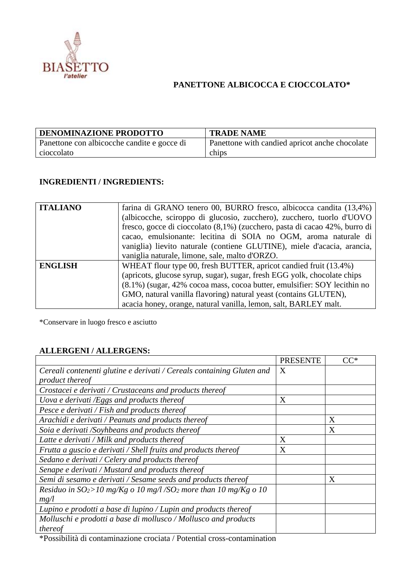

## **PANETTONE ALBICOCCA E CIOCCOLATO\***

| <b>DENOMINAZIONE PRODOTTO</b>               | <b>TRADE NAME</b>                              |
|---------------------------------------------|------------------------------------------------|
| Panettone con albicocche candite e gocce di | Panettone with candied apricot anche chocolate |
| cioccolato                                  | chips                                          |

## **INGREDIENTI / INGREDIENTS:**

| <b>ITALIANO</b> | farina di GRANO tenero 00, BURRO fresco, albicocca candita (13,4%)         |
|-----------------|----------------------------------------------------------------------------|
|                 | (albicocche, sciroppo di glucosio, zucchero), zucchero, tuorlo d'UOVO      |
|                 | fresco, gocce di cioccolato (8,1%) (zucchero, pasta di cacao 42%, burro di |
|                 | cacao, emulsionante: lecitina di SOIA no OGM, aroma naturale di            |
|                 | vaniglia) lievito naturale (contiene GLUTINE), miele d'acacia, arancia,    |
|                 | vaniglia naturale, limone, sale, malto d'ORZO.                             |
| <b>ENGLISH</b>  | WHEAT flour type 00, fresh BUTTER, apricot candied fruit (13.4%)           |
|                 | (apricots, glucose syrup, sugar), sugar, fresh EGG yolk, chocolate chips   |
|                 | (8.1%) (sugar, 42% cocoa mass, cocoa butter, emulsifier: SOY lecithin no   |
|                 | GMO, natural vanilla flavoring) natural yeast (contains GLUTEN),           |
|                 | acacia honey, orange, natural vanilla, lemon, salt, BARLEY malt.           |

\*Conservare in luogo fresco e asciutto

## **ALLERGENI / ALLERGENS:**

| Cereali contenenti glutine e derivati / Cereals containing Gluten and<br>X<br>product thereof<br>Crostacei e derivati / Crustaceans and products thereof<br>Uova e derivati /Eggs and products thereof<br>X<br>Pesce e derivati / Fish and products thereof<br>X<br>Arachidi e derivati / Peanuts and products thereof<br>X<br>Soia e derivati /Soyhbeans and products thereof<br>Latte e derivati / Milk and products thereof<br>X<br>X<br>Frutta a guscio e derivati / Shell fruits and products thereof<br>Sedano e derivati / Celery and products thereof |                                                  | <b>PRESENTE</b> | $\mathsf{C}\mathsf{C}^*$ |
|---------------------------------------------------------------------------------------------------------------------------------------------------------------------------------------------------------------------------------------------------------------------------------------------------------------------------------------------------------------------------------------------------------------------------------------------------------------------------------------------------------------------------------------------------------------|--------------------------------------------------|-----------------|--------------------------|
|                                                                                                                                                                                                                                                                                                                                                                                                                                                                                                                                                               |                                                  |                 |                          |
|                                                                                                                                                                                                                                                                                                                                                                                                                                                                                                                                                               |                                                  |                 |                          |
|                                                                                                                                                                                                                                                                                                                                                                                                                                                                                                                                                               |                                                  |                 |                          |
|                                                                                                                                                                                                                                                                                                                                                                                                                                                                                                                                                               |                                                  |                 |                          |
|                                                                                                                                                                                                                                                                                                                                                                                                                                                                                                                                                               |                                                  |                 |                          |
|                                                                                                                                                                                                                                                                                                                                                                                                                                                                                                                                                               |                                                  |                 |                          |
|                                                                                                                                                                                                                                                                                                                                                                                                                                                                                                                                                               |                                                  |                 |                          |
|                                                                                                                                                                                                                                                                                                                                                                                                                                                                                                                                                               |                                                  |                 |                          |
|                                                                                                                                                                                                                                                                                                                                                                                                                                                                                                                                                               |                                                  |                 |                          |
|                                                                                                                                                                                                                                                                                                                                                                                                                                                                                                                                                               |                                                  |                 |                          |
|                                                                                                                                                                                                                                                                                                                                                                                                                                                                                                                                                               | Senape e derivati / Mustard and products thereof |                 |                          |
| Semi di sesamo e derivati / Sesame seeds and products thereof<br>X                                                                                                                                                                                                                                                                                                                                                                                                                                                                                            |                                                  |                 |                          |
| Residuo in $SO_2$ >10 mg/Kg o 10 mg/l/SO <sub>2</sub> more than 10 mg/Kg o 10                                                                                                                                                                                                                                                                                                                                                                                                                                                                                 |                                                  |                 |                          |
| mg/l                                                                                                                                                                                                                                                                                                                                                                                                                                                                                                                                                          |                                                  |                 |                          |
| Lupino e prodotti a base di lupino / Lupin and products thereof                                                                                                                                                                                                                                                                                                                                                                                                                                                                                               |                                                  |                 |                          |
| Molluschi e prodotti a base di mollusco / Mollusco and products                                                                                                                                                                                                                                                                                                                                                                                                                                                                                               |                                                  |                 |                          |
| thereof                                                                                                                                                                                                                                                                                                                                                                                                                                                                                                                                                       |                                                  |                 |                          |

\*Possibilità di contaminazione crociata / Potential cross-contamination